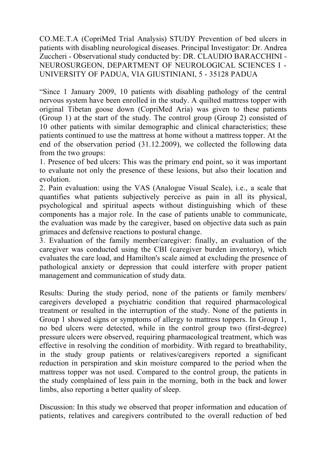CO.ME.T.A (CopriMed Trial Analysis) STUDY Prevention of bed ulcers in patients with disabling neurological diseases. Principal Investigator: Dr. Andrea Zuccheri - Observational study conducted by: DR. CLAUDIO BARACCHINI - NEUROSURGEON, DEPARTMENT OF NEUROLOGICAL SCIENCES I - UNIVERSITY OF PADUA, VIA GIUSTINIANI, 5 - 35128 PADUA

"Since 1 January 2009, 10 patients with disabling pathology of the central nervous system have been enrolled in the study. A quilted mattress topper with original Tibetan goose down (CopriMed Aria) was given to these patients (Group 1) at the start of the study. The control group (Group 2) consisted of 10 other patients with similar demographic and clinical characteristics; these patients continued to use the mattress at home without a mattress topper. At the end of the observation period (31.12.2009), we collected the following data from the two groups:

1. Presence of bed ulcers: This was the primary end point, so it was important to evaluate not only the presence of these lesions, but also their location and evolution.

2. Pain evaluation: using the VAS (Analogue Visual Scale), i.e., a scale that quantifies what patients subjectively perceive as pain in all its physical, psychological and spiritual aspects without distinguishing which of these components has a major role. In the case of patients unable to communicate, the evaluation was made by the caregiver, based on objective data such as pain grimaces and defensive reactions to postural change.

3. Evaluation of the family member/caregiver: finally, an evaluation of the caregiver was conducted using the CBI (caregiver burden inventory), which evaluates the care load, and Hamilton's scale aimed at excluding the presence of pathological anxiety or depression that could interfere with proper patient management and communication of study data.

Results: During the study period, none of the patients or family members/ caregivers developed a psychiatric condition that required pharmacological treatment or resulted in the interruption of the study. None of the patients in Group 1 showed signs or symptoms of allergy to mattress toppers. In Group 1, no bed ulcers were detected, while in the control group two (first-degree) pressure ulcers were observed, requiring pharmacological treatment, which was effective in resolving the condition of morbidity. With regard to breathability, in the study group patients or relatives/caregivers reported a significant reduction in perspiration and skin moisture compared to the period when the mattress topper was not used. Compared to the control group, the patients in the study complained of less pain in the morning, both in the back and lower limbs, also reporting a better quality of sleep.

Discussion: In this study we observed that proper information and education of patients, relatives and caregivers contributed to the overall reduction of bed